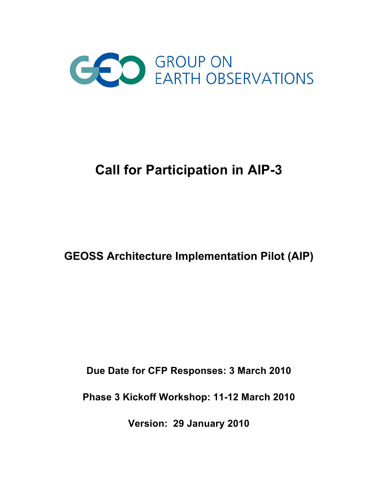

## **Call for Participation in AIP-3**

### **GEOSS Architecture Implementation Pilot (AIP)**

**Due Date for CFP Responses: 3 March 2010**

**Phase 3 Kickoff Workshop: 11-12 March 2010**

**Version: 29 January 2010**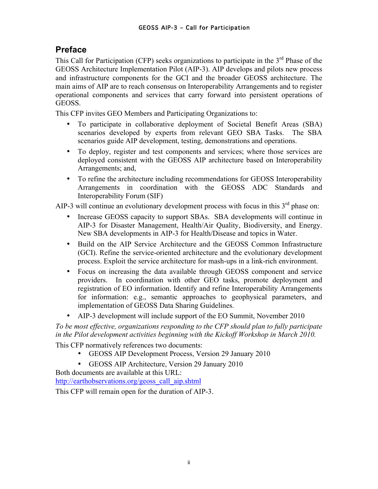#### **Preface**

This Call for Participation (CFP) seeks organizations to participate in the  $3<sup>rd</sup>$  Phase of the GEOSS Architecture Implementation Pilot (AIP-3). AIP develops and pilots new process and infrastructure components for the GCI and the broader GEOSS architecture. The main aims of AIP are to reach consensus on Interoperability Arrangements and to register operational components and services that carry forward into persistent operations of GEOSS.

This CFP invites GEO Members and Participating Organizations to:

- To participate in collaborative deployment of Societal Benefit Areas (SBA) scenarios developed by experts from relevant GEO SBA Tasks. The SBA scenarios guide AIP development, testing, demonstrations and operations.
- To deploy, register and test components and services; where those services are deployed consistent with the GEOSS AIP architecture based on Interoperability Arrangements; and,
- To refine the architecture including recommendations for GEOSS Interoperability Arrangements in coordination with the GEOSS ADC Standards and Interoperability Forum (SIF)

AIP-3 will continue an evolutionary development process with focus in this  $3<sup>rd</sup>$  phase on:

- Increase GEOSS capacity to support SBAs. SBA developments will continue in AIP-3 for Disaster Management, Health/Air Quality, Biodiversity, and Energy. New SBA developments in AIP-3 for Health/Disease and topics in Water.
- Build on the AIP Service Architecture and the GEOSS Common Infrastructure (GCI). Refine the service-oriented architecture and the evolutionary development process. Exploit the service architecture for mash-ups in a link-rich environment.
- Focus on increasing the data available through GEOSS component and service providers. In coordination with other GEO tasks, promote deployment and registration of EO information. Identify and refine Interoperability Arrangements for information: e.g., semantic approaches to geophysical parameters, and implementation of GEOSS Data Sharing Guidelines.
- AIP-3 development will include support of the EO Summit, November 2010

*To be most effective, organizations responding to the CFP should plan to fully participate*  in the Pilot development activities beginning with the Kickoff Workshop in March 2010.

This CFP normatively references two documents:

- GEOSS AIP Development Process, Version 29 January 2010
- GEOSS AIP Architecture, Version 29 January 2010

Both documents are available at this URL:

http://earthobservations.org/geoss\_call\_aip.shtml

This CFP will remain open for the duration of AIP-3.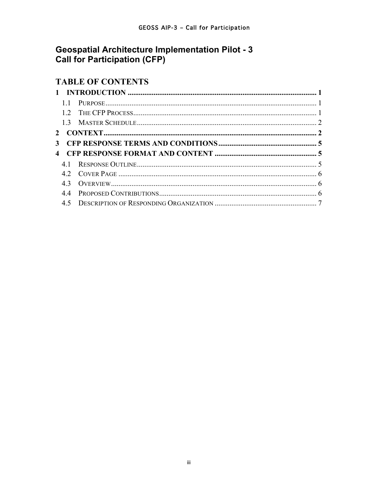# Geospatial Architecture Implementation Pilot - 3<br>Call for Participation (CFP)

#### **TABLE OF CONTENTS**

| 44 | 41<br>43 |
|----|----------|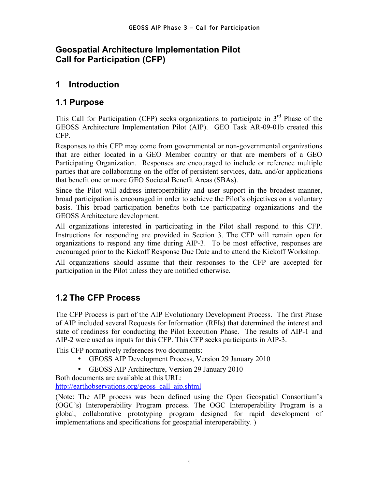#### **Geospatial Architecture Implementation Pilot Call for Participation (CFP)**

#### **1 Introduction**

#### **1.1 Purpose**

This Call for Participation (CFP) seeks organizations to participate in  $3<sup>rd</sup>$  Phase of the GEOSS Architecture Implementation Pilot (AIP). GEO Task AR-09-01b created this CFP.

Responses to this CFP may come from governmental or non-governmental organizations that are either located in a GEO Member country or that are members of a GEO Participating Organization. Responses are encouraged to include or reference multiple parties that are collaborating on the offer of persistent services, data, and/or applications that benefit one or more GEO Societal Benefit Areas (SBAs).

Since the Pilot will address interoperability and user support in the broadest manner, broad participation is encouraged in order to achieve the Pilot's objectives on a voluntary basis. This broad participation benefits both the participating organizations and the GEOSS Architecture development.

All organizations interested in participating in the Pilot shall respond to this CFP. Instructions for responding are provided in Section 3. The CFP will remain open for organizations to respond any time during AIP-3. To be most effective, responses are encouraged prior to the Kickoff Response Due Date and to attend the Kickoff Workshop.

All organizations should assume that their responses to the CFP are accepted for participation in the Pilot unless they are notified otherwise.

#### **1.2 The CFP Process**

The CFP Process is part of the AIP Evolutionary Development Process. The first Phase of AIP included several Requests for Information (RFIs) that determined the interest and state of readiness for conducting the Pilot Execution Phase. The results of AIP-1 and AIP-2 were used as inputs for this CFP. This CFP seeks participants in AIP-3.

This CFP normatively references two documents:

- GEOSS AIP Development Process, Version 29 January 2010
- GEOSS AIP Architecture, Version 29 January 2010

Both documents are available at this URL: http://earthobservations.org/geoss\_call\_aip.shtml

(Note: The AIP process was been defined using the Open Geospatial Consortium's (OGC's) Interoperability Program process. The OGC Interoperability Program is a global, collaborative prototyping program designed for rapid development of implementations and specifications for geospatial interoperability. )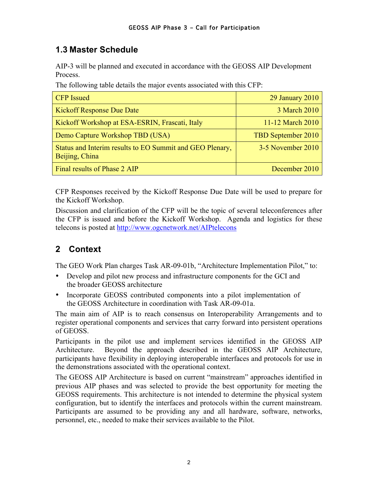#### **1.3 Master Schedule**

AIP-3 will be planned and executed in accordance with the GEOSS AIP Development Process.

The following table details the major events associated with this CFP:

| <b>CFP</b> Issued                                                          | 29 January 2010    |
|----------------------------------------------------------------------------|--------------------|
| <b>Kickoff Response Due Date</b>                                           | 3 March 2010       |
| Kickoff Workshop at ESA-ESRIN, Frascati, Italy                             | 11-12 March 2010   |
| Demo Capture Workshop TBD (USA)                                            | TBD September 2010 |
| Status and Interim results to EO Summit and GEO Plenary,<br>Beijing, China | 3-5 November 2010  |
| Final results of Phase 2 AIP                                               | December 2010      |

CFP Responses received by the Kickoff Response Due Date will be used to prepare for the Kickoff Workshop.

Discussion and clarification of the CFP will be the topic of several teleconferences after the CFP is issued and before the Kickoff Workshop. Agenda and logistics for these telecons is posted at http://www.ogcnetwork.net/AIPtelecons

#### **2 Context**

The GEO Work Plan charges Task AR-09-01b, "Architecture Implementation Pilot," to:

- Develop and pilot new process and infrastructure components for the GCI and the broader GEOSS architecture
- Incorporate GEOSS contributed components into a pilot implementation of the GEOSS Architecture in coordination with Task AR-09-01a.

The main aim of AIP is to reach consensus on Interoperability Arrangements and to register operational components and services that carry forward into persistent operations of GEOSS.

Participants in the pilot use and implement services identified in the GEOSS AIP Architecture. Beyond the approach described in the GEOSS AIP Architecture, participants have flexibility in deploying interoperable interfaces and protocols for use in the demonstrations associated with the operational context.

The GEOSS AIP Architecture is based on current "mainstream" approaches identified in previous AIP phases and was selected to provide the best opportunity for meeting the GEOSS requirements. This architecture is not intended to determine the physical system configuration, but to identify the interfaces and protocols within the current mainstream. Participants are assumed to be providing any and all hardware, software, networks, personnel, etc., needed to make their services available to the Pilot.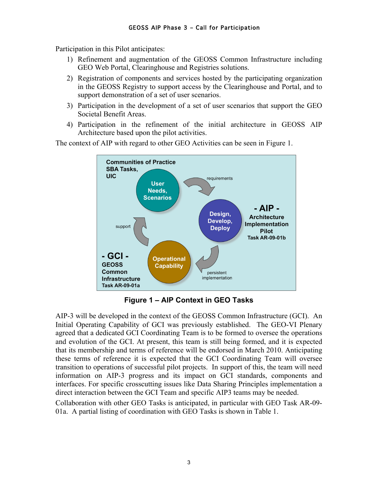Participation in this Pilot anticipates:

- 1) Refinement and augmentation of the GEOSS Common Infrastructure including GEO Web Portal, Clearinghouse and Registries solutions.
- 2) Registration of components and services hosted by the participating organization in the GEOSS Registry to support access by the Clearinghouse and Portal, and to support demonstration of a set of user scenarios.
- 3) Participation in the development of a set of user scenarios that support the GEO Societal Benefit Areas.
- 4) Participation in the refinement of the initial architecture in GEOSS AIP Architecture based upon the pilot activities.

The context of AIP with regard to other GEO Activities can be seen in Figure 1.



**Figure 1 – AIP Context in GEO Tasks**

AIP-3 will be developed in the context of the GEOSS Common Infrastructure (GCI). An Initial Operating Capability of GCI was previously established. The GEO-VI Plenary agreed that a dedicated GCI Coordinating Team is to be formed to oversee the operations and evolution of the GCI. At present, this team is still being formed, and it is expected that its membership and terms of reference will be endorsed in March 2010. Anticipating these terms of reference it is expected that the GCI Coordinating Team will oversee transition to operations of successful pilot projects. In support of this, the team will need information on AIP-3 progress and its impact on GCI standards, components and interfaces. For specific crosscutting issues like Data Sharing Principles implementation a direct interaction between the GCI Team and specific AIP3 teams may be needed.

Collaboration with other GEO Tasks is anticipated, in particular with GEO Task AR-09- 01a. A partial listing of coordination with GEO Tasks is shown in Table 1.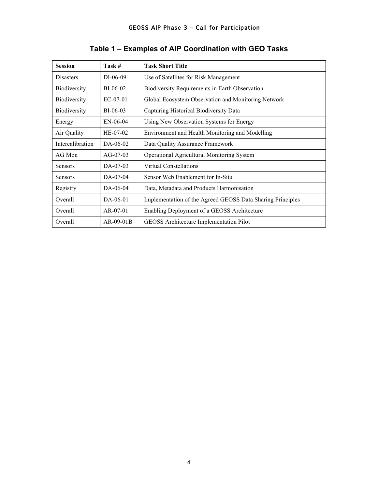| <b>Session</b>   | Task #         | <b>Task Short Title</b>                                    |
|------------------|----------------|------------------------------------------------------------|
| <b>Disasters</b> | $DI-06-09$     | Use of Satellites for Risk Management                      |
| Biodiversity     | BI-06-02       | Biodiversity Requirements in Earth Observation             |
| Biodiversity     | $EC-07-01$     | Global Ecosystem Observation and Monitoring Network        |
| Biodiversity     | $BI-06-03$     | Capturing Historical Biodiversity Data                     |
| Energy           | $EN-06-04$     | Using New Observation Systems for Energy                   |
| Air Quality      | $HE-07-02$     | Environment and Health Monitoring and Modelling            |
| Intercalibration | $DA - 06 - 02$ | Data Quality Assurance Framework                           |
| AG Mon           | $AG-07-03$     | <b>Operational Agricultural Monitoring System</b>          |
| <b>Sensors</b>   | $DA-07-03$     | <b>Virtual Constellations</b>                              |
| <b>Sensors</b>   | $DA - 07 - 04$ | Sensor Web Enablement for In-Situ                          |
| Registry         | DA-06-04       | Data, Metadata and Products Harmonisation                  |
| Overall          | DA-06-01       | Implementation of the Agreed GEOSS Data Sharing Principles |
| Overall          | $AR-07-01$     | Enabling Deployment of a GEOSS Architecture                |
| Overall          | $AR-09-01B$    | <b>GEOSS</b> Architecture Implementation Pilot             |

#### **Table 1 – Examples of AIP Coordination with GEO Tasks**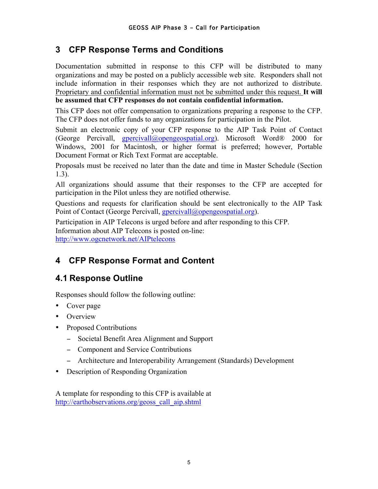#### **3 CFP Response Terms and Conditions**

Documentation submitted in response to this CFP will be distributed to many organizations and may be posted on a publicly accessible web site. Responders shall not include information in their responses which they are not authorized to distribute. Proprietary and confidential information must not be submitted under this request. **It will be assumed that CFP responses do not contain confidential information.**

This CFP does not offer compensation to organizations preparing a response to the CFP. The CFP does not offer funds to any organizations for participation in the Pilot.

Submit an electronic copy of your CFP response to the AIP Task Point of Contact (George Percivall, gpercivall@opengeospatial.org). Microsoft Word® 2000 for Windows, 2001 for Macintosh, or higher format is preferred; however, Portable Document Format or Rich Text Format are acceptable.

Proposals must be received no later than the date and time in Master Schedule (Section 1.3).

All organizations should assume that their responses to the CFP are accepted for participation in the Pilot unless they are notified otherwise.

Questions and requests for clarification should be sent electronically to the AIP Task Point of Contact (George Percivall, gpercivall@opengeospatial.org).

Participation in AIP Telecons is urged before and after responding to this CFP. Information about AIP Telecons is posted on-line: http://www.ogcnetwork.net/AIPtelecons

#### **4 CFP Response Format and Content**

#### **4.1 Response Outline**

Responses should follow the following outline:

- Cover page
- Overview
- Proposed Contributions
	- − Societal Benefit Area Alignment and Support
	- − Component and Service Contributions
	- − Architecture and Interoperability Arrangement (Standards) Development
- Description of Responding Organization

A template for responding to this CFP is available at http://earthobservations.org/geoss\_call\_aip.shtml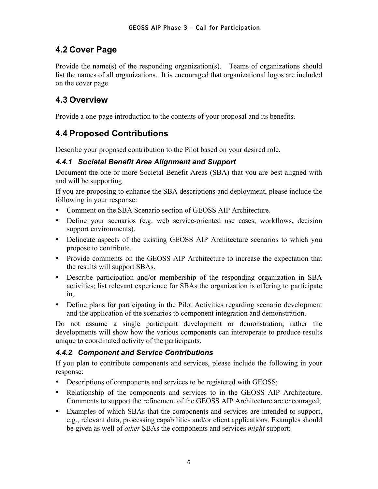#### **4.2 Cover Page**

Provide the name(s) of the responding organization(s). Teams of organizations should list the names of all organizations. It is encouraged that organizational logos are included on the cover page.

#### **4.3 Overview**

Provide a one-page introduction to the contents of your proposal and its benefits.

#### **4.4 Proposed Contributions**

Describe your proposed contribution to the Pilot based on your desired role.

#### *4.4.1 Societal Benefit Area Alignment and Support*

Document the one or more Societal Benefit Areas (SBA) that you are best aligned with and will be supporting.

If you are proposing to enhance the SBA descriptions and deployment, please include the following in your response:

- Comment on the SBA Scenario section of GEOSS AIP Architecture.
- Define your scenarios (e.g. web service-oriented use cases, workflows, decision support environments).
- Delineate aspects of the existing GEOSS AIP Architecture scenarios to which you propose to contribute.
- Provide comments on the GEOSS AIP Architecture to increase the expectation that the results will support SBAs.
- Describe participation and/or membership of the responding organization in SBA activities; list relevant experience for SBAs the organization is offering to participate in,
- Define plans for participating in the Pilot Activities regarding scenario development and the application of the scenarios to component integration and demonstration.

Do not assume a single participant development or demonstration; rather the developments will show how the various components can interoperate to produce results unique to coordinated activity of the participants.

#### *4.4.2 Component and Service Contributions*

If you plan to contribute components and services, please include the following in your response:

- Descriptions of components and services to be registered with GEOSS;
- Relationship of the components and services to in the GEOSS AIP Architecture. Comments to support the refinement of the GEOSS AIP Architecture are encouraged;
- Examples of which SBAs that the components and services are intended to support, e.g., relevant data, processing capabilities and/or client applications. Examples should be given as well of *other* SBAs the components and services *might* support;